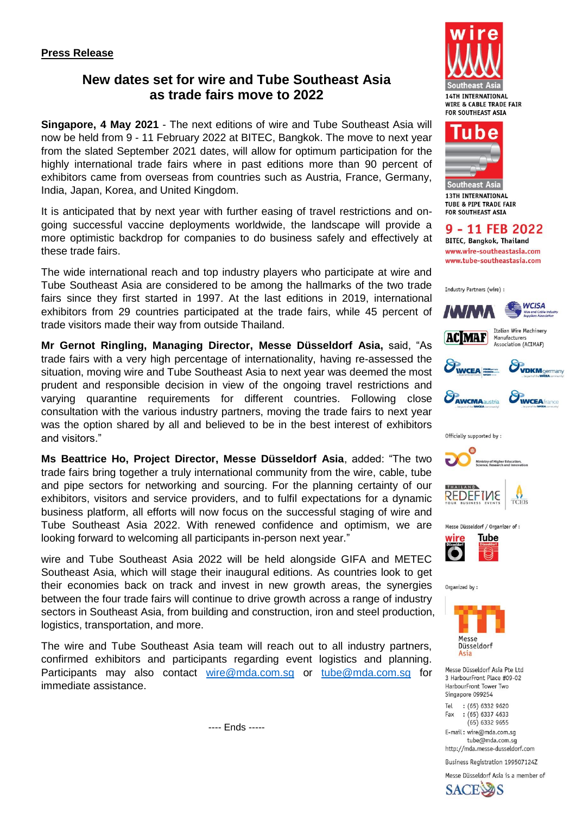# **New dates set for wire and Tube Southeast Asia as trade fairs move to 2022**

**Singapore, 4 May 2021** - The next editions of wire and Tube Southeast Asia will now be held from 9 - 11 February 2022 at BITEC, Bangkok. The move to next year from the slated September 2021 dates, will allow for optimum participation for the highly international trade fairs where in past editions more than 90 percent of exhibitors came from overseas from countries such as Austria, France, Germany, India, Japan, Korea, and United Kingdom.

It is anticipated that by next year with further easing of travel restrictions and ongoing successful vaccine deployments worldwide, the landscape will provide a more optimistic backdrop for companies to do business safely and effectively at these trade fairs.

The wide international reach and top industry players who participate at wire and Tube Southeast Asia are considered to be among the hallmarks of the two trade fairs since they first started in 1997. At the last editions in 2019, international exhibitors from 29 countries participated at the trade fairs, while 45 percent of trade visitors made their way from outside Thailand.

**Mr Gernot Ringling, Managing Director, Messe Düsseldorf Asia,** said, "As trade fairs with a very high percentage of internationality, having re-assessed the situation, moving wire and Tube Southeast Asia to next year was deemed the most prudent and responsible decision in view of the ongoing travel restrictions and varying quarantine requirements for different countries. Following close consultation with the various industry partners, moving the trade fairs to next year was the option shared by all and believed to be in the best interest of exhibitors and visitors."

**Ms Beattrice Ho, Project Director, Messe Düsseldorf Asia**, added: "The two trade fairs bring together a truly international community from the wire, cable, tube and pipe sectors for networking and sourcing. For the planning certainty of our exhibitors, visitors and service providers, and to fulfil expectations for a dynamic business platform, all efforts will now focus on the successful staging of wire and Tube Southeast Asia 2022. With renewed confidence and optimism, we are looking forward to welcoming all participants in-person next year."

wire and Tube Southeast Asia 2022 will be held alongside GIFA and METEC Southeast Asia, which will stage their inaugural editions. As countries look to get their economies back on track and invest in new growth areas, the synergies between the four trade fairs will continue to drive growth across a range of industry sectors in Southeast Asia, from building and construction, iron and steel production, logistics, transportation, and more.

The wire and Tube Southeast Asia team will reach out to all industry partners, confirmed exhibitors and participants regarding event logistics and planning. Participants may also contact [wire@mda.com.sg](mailto:wire@mda.com.sg) or [tube@mda.com.sg](mailto:tube@mda.com.sg) for immediate assistance.

---- Ends -----





Southeast Asia **13TH INTERNATIONAL TUBE & PIPE TRADE FAIR FOR SOUTHEAST ASIA** 

9 - 11 FEB 2022 **BITEC, Bangkok, Thailand** www.wire-southeastasia.com www.tube-southeastasia.com

Industry Partners (wire) :







UWCEA







Organized by:



Messe Düsseldorf Asia Pte Ltd 3 HarbourFront Place #09-02 HarbourFront Tower Two Singapore 099254

Tel  $(65)$  6332 9620  $:(65) 6337 4633$ Fax  $(65)$  6332 9655

E-mail: wire@mda.com.sg tube@mda.com.sg http://mda.messe-dusseldorf.com

Business Registration 199507124Z

Messe Düsseldorf Asia is a member of